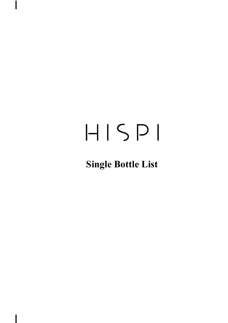$\overline{\phantom{a}}$ 

### **Single Bottle List**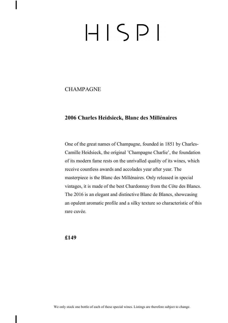#### **CHAMPAGNE**

#### **2006 Charles Heidsieck, Blanc des Millénaires**

One of the great names of Champagne, founded in 1851 by Charles-Camille Heidsieck, the original 'Champagne Charlie', the foundation of its modern fame rests on the unrivalled quality of its wines, which receive countless awards and accolades year after year. The masterpiece is the Blanc des Millénaires. Only released in special vintages, it is made of the best Chardonnay from the Côte des Blancs. The 2016 is an elegant and distinctive Blanc de Blancs, showcasing an opulent aromatic profile and a silky texture so characteristic of this rare cuvée.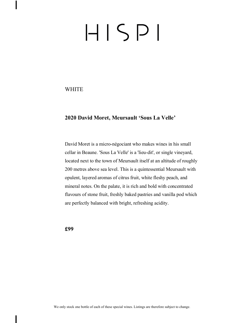**WHITE** 

#### **2020 David Moret, Meursault 'Sous La Velle'**

David Moret is a micro-négociant who makes wines in his small cellar in Beaune. 'Sous La Velle' is a 'lieu-dit', or single vineyard, located next to the town of Meursault itself at an altitude of roughly 200 metres above sea level. This is a quintessential Meursault with opulent, layered aromas of citrus fruit, white fleshy peach, and mineral notes. On the palate, it is rich and bold with concentrated flavours of stone fruit, freshly baked pastries and vanilla pod which are perfectly balanced with bright, refreshing acidity.

**£99**

We only stock one bottle of each of these special wines. Listings are therefore subject to change.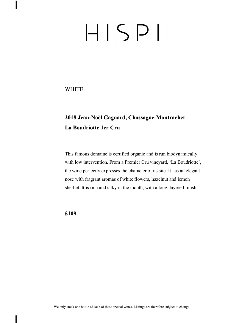**WHITE** 

### **2018 Jean-Noël Gagnard, Chassagne-Montrachet La Boudriotte 1er Cru**

This famous domaine is certified organic and is run biodynamically with low intervention. From a Premier Cru vineyard, 'La Boudriotte', the wine perfectly expresses the character of its site. It has an elegant nose with fragrant aromas of white flowers, hazelnut and lemon sherbet. It is rich and silky in the mouth, with a long, layered finish.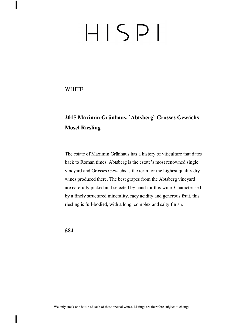**WHITE** 

### **2015 Maximin Grünhaus, `Abtsberg` Grosses Gewächs Mosel Riesling**

The estate of Maximin Grünhaus has a history of viticulture that dates back to Roman times. Abtsberg is the estate's most renowned single vineyard and Grosses Gewächs is the term for the highest quality dry wines produced there. The best grapes from the Abtsberg vineyard are carefully picked and selected by hand for this wine. Characterised by a finely structured minerality, racy acidity and generous fruit, this riesling is full-bodied, with a long, complex and salty finish.

**£84**

We only stock one bottle of each of these special wines. Listings are therefore subject to change.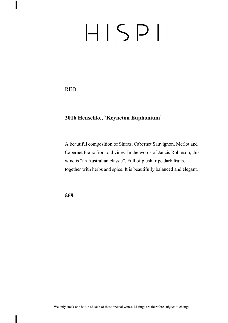RED

 $\overline{\phantom{a}}$ 

#### **2016 Henschke, `Keyneton Euphonium`**

A beautiful composition of Shiraz, Cabernet Sauvignon, Merlot and Cabernet Franc from old vines. In the words of Jancis Robinson, this wine is "an Australian classic". Full of plush, ripe dark fruits, together with herbs and spice. It is beautifully balanced and elegant.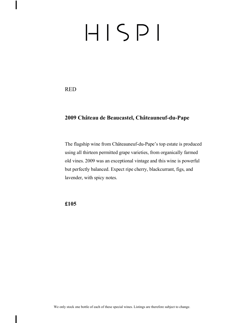RED

 $\overline{\phantom{a}}$ 

#### **2009 Château de Beaucastel, Châteauneuf-du-Pape**

The flagship wine from Châteauneuf-du-Pape's top estate is produced using all thirteen permitted grape varieties, from organically farmed old vines. 2009 was an exceptional vintage and this wine is powerful but perfectly balanced. Expect ripe cherry, blackcurrant, figs, and lavender, with spicy notes.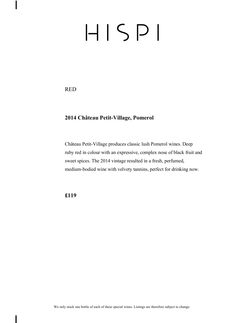RED

 $\overline{\phantom{a}}$ 

#### **2014 Château Petit-Village, Pomerol**

Château Petit-Village produces classic lush Pomerol wines. Deep ruby red in colour with an expressive, complex nose of black fruit and sweet spices. The 2014 vintage resulted in a fresh, perfumed, medium-bodied wine with velvety tannins, perfect for drinking now.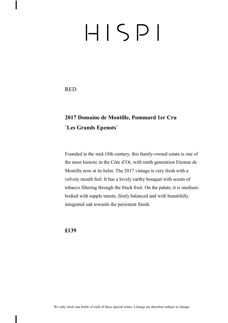RED

### **2017 Domaine de Montille, Pommard 1er Cru `Les Grands Epenots`**

Founded in the mid-18th century, this family-owned estate is one of the most historic in the Côte d'Or, with ninth generation Etienne de Montille now at its helm. The 2017 vintage is very fresh with a velvety mouth feel. It has a lovely earthy bouquet with scents of tobacco filtering through the black fruit. On the palate, it is mediumbodied with supple tannin, finely balanced and with beautifully integrated oak towards the persistent finish.

**£139**

We only stock one bottle of each of these special wines. Listings are therefore subject to change.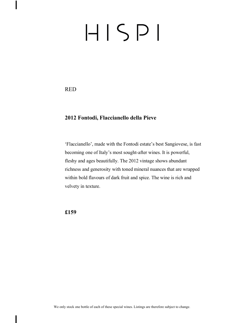RED

 $\overline{\phantom{a}}$ 

#### **2012 Fontodi, Flaccianello della Pieve**

'Flaccianello', made with the Fontodi estate's best Sangiovese, is fast becoming one of Italy's most sought-after wines. It is powerful, fleshy and ages beautifully. The 2012 vintage shows abundant richness and generosity with toned mineral nuances that are wrapped within bold flavours of dark fruit and spice. The wine is rich and velvety in texture.